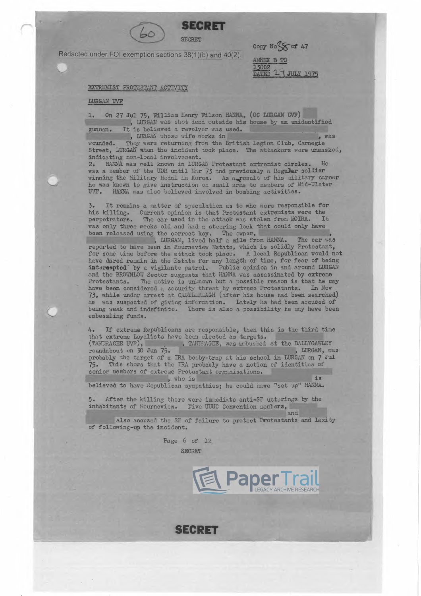**SECI**<br> **Redected under FOI exemption pedians 28/41/h** 

Redacted under FOI exemption sections 38(1)(b) and 40(2).

Copy  $NoS < cf$  47 Copy No 5 or 4/<br>ANNEX B TO<br>13002<br>DATED 2 J JULY 1975

EXTREMIST PROTESTANT ACTIVITY

LURGAN UVF

1. On 27 Jul 75, William Henry Wilson HANNA, (OC LURGAN UVF)<br>, LURGAN was shot dead outside his house by an unid , LURGAN was shot dead outside his house by an unidentified gunnan. It is believed a revolver was used.<br>
, LURGAN whose wife works in

gunman. It is believed a revolver was used.<br>
, LURGAN whose wife works in<br>
wounded. They were returning from the British Legion Club, Carnegie Wounded. They were returning from the British Legion Club, Carnegie<br>Street, LURGAN whan the incident took place. The attackers were unmasked, indicating non-local involvenent.

2. HANNA was well known in LURGAN Protestant extremist circles. He was a nember of the UDR until Mar 73 and previously a Regular soldier winning the Military Medal in Korea. As a result of his military career he was known to give instruction on small arms to members of Mid-Ulster UVF. HANNA was also believed involved in bombing activities. HANNA was also believed involved in bombing activities.

*3.* It remains a matter *or* speculation es to who were responsible for his killing. Current opinion is that Protestant extremists were the perpetrators. The car used in the attack was stolen from MOIRA. It was only three weeks old and had a steering lock that could only have been released using the correct key. The owner,

, LURGAN, lived half a mile from HANNA. The car was reported to have been in Mourneview Estate, which is solidly Protestant, for some time before the attack took place. A local Republican would not have dared renain in the Estate for any length of time, for fear of being intersepted<sup>-</sup> by a vigilante patrol. Public opinion in and around LURGAN and the BROWNLOW Sector suggests that HANNA was assassinated by extreme Protestants. The notive is unknown but a possible reason is that he may have hean considered a sequent threat he extreme Protestants. In Nov Protestants. The notive is unknown but a possible reason is that he may have been considered a security threat by extreme Protestants. In Nov 73, while under arrest at CASTL RLAGH (after his house had been searched) he was suspected of giving information. Lately he had been accused of being weak and indefinite. There is also a possibility he may have been embessling funds.

/b. This shows that the IRA probably have a notion of :<br>senior members of extreme Protestant organisations.<br>, who is If extreme Republicans are responsible, then this is the third time that extreme Republicans are responsible, then this is the third that<br>that extreme Loyalists have been clocted as targets.<br>I TANDEAGEE, was acbushed at the BALLYGAWLEY<br>noundabout on 30 Jun 75 roundabout on 30 Jun 75. • TANDEAGEE UVE 1.46 PALLYGANET TOWN AGET UVE 1.46 PALLYGANET TOWN AS probably the target of a IRA booby-trap at his school in LURGAN on 7 Jul *75.* This shows that the IRA probably have a notion of identities of senior nembers of extreme Protestant organisations.<br>
, who is , who is<br>believed to have Republican sympathies; he could have "set up" HANNA.

After the killing there were immediate anti-SF uttarings by the 5. After the killing there were immediate anti-SF utterings<br>inhabitants of Mourneview. Five UUUC Convention members,<br>and<br>also accused the SF of failure to protect Protestants

and and accused the SF of failure to protect Protestants and laxity of following-up the incident.

> Page 6 of 12 SECRET



**SECRET**